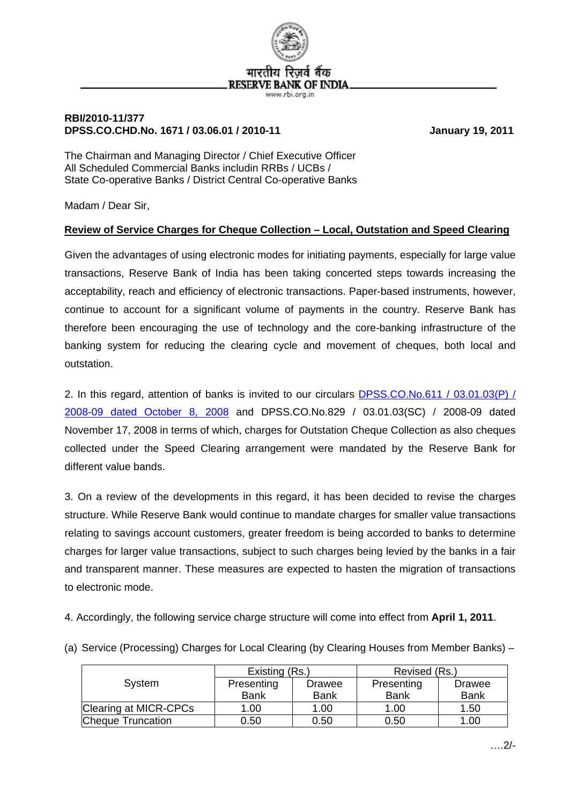

## **RBI/2010-11/377 DPSS.CO.CHD.No. 1671 / 03.06.01 / 2010-11 January 19, 2011**

The Chairman and Managing Director / Chief Executive Officer All Scheduled Commercial Banks includin RRBs / UCBs / State Co-operative Banks / District Central Co-operative Banks

Madam / Dear Sir,

## **Review of Service Charges for Cheque Collection – Local, Outstation and Speed Clearing**

Given the advantages of using electronic modes for initiating payments, especially for large value transactions, Reserve Bank of India has been taking concerted steps towards increasing the acceptability, reach and efficiency of electronic transactions. Paper-based instruments, however, continue to account for a significant volume of payments in the country. Reserve Bank has therefore been encouraging the use of technology and the core-banking infrastructure of the banking system for reducing the clearing cycle and movement of cheques, both local and outstation.

2. In this regard, attention of banks is invited to our circulars [DPSS.CO.No.611 / 03.01.03\(P\) /](http://www.rbi.org.in/scripts/NotificationUser.aspx?Id=4523&Mode=0)  [2008-09 dated October 8, 2008](http://www.rbi.org.in/scripts/NotificationUser.aspx?Id=4523&Mode=0) and DPSS.CO.No.829 / 03.01.03(SC) / 2008-09 dated November 17, 2008 in terms of which, charges for Outstation Cheque Collection as also cheques collected under the Speed Clearing arrangement were mandated by the Reserve Bank for different value bands.

3. On a review of the developments in this regard, it has been decided to revise the charges structure. While Reserve Bank would continue to mandate charges for smaller value transactions relating to savings account customers, greater freedom is being accorded to banks to determine charges for larger value transactions, subject to such charges being levied by the banks in a fair and transparent manner. These measures are expected to hasten the migration of transactions to electronic mode.

4. Accordingly, the following service charge structure will come into effect from **April 1, 2011**.

| (a) Service (Processing) Charges for Local Clearing (by Clearing Houses from Member Banks) – |  |
|----------------------------------------------------------------------------------------------|--|
|----------------------------------------------------------------------------------------------|--|

|                       | Existing (Rs.) |             | Revised (Rs.) |             |
|-----------------------|----------------|-------------|---------------|-------------|
| System                | Presenting     | Drawee      | Presenting    | Drawee      |
|                       | <b>Bank</b>    | <b>Bank</b> | <b>Bank</b>   | <b>Bank</b> |
| Clearing at MICR-CPCs | 1.00           | 1.00        | 1.00          | 1.50        |
| Cheque Truncation     | 0.50           | 0.50        | 0.50          | 1.00        |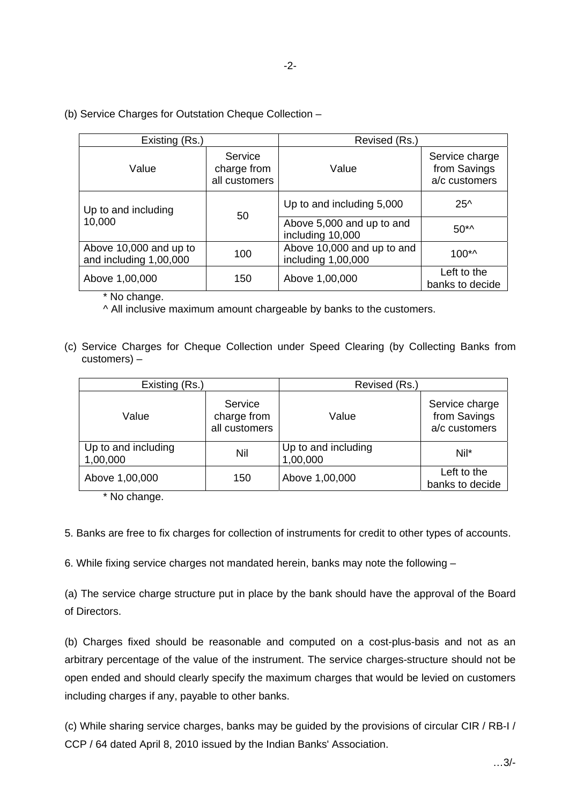## (b) Service Charges for Outstation Cheque Collection –

| Existing (Rs.)                                   |                                         | Revised (Rs.)                                    |                                                 |               |
|--------------------------------------------------|-----------------------------------------|--------------------------------------------------|-------------------------------------------------|---------------|
| Value                                            | Service<br>charge from<br>all customers | Value                                            | Service charge<br>from Savings<br>a/c customers |               |
| Up to and including<br>10,000                    | 50                                      | Up to and including 5,000                        |                                                 | $25^{\wedge}$ |
|                                                  |                                         | Above 5,000 and up to and<br>including 10,000    | $50^{*}$                                        |               |
| Above 10,000 and up to<br>and including 1,00,000 | 100                                     | Above 10,000 and up to and<br>including 1,00,000 | $100^{*}$                                       |               |
| Above 1,00,000                                   | 150                                     | Above 1,00,000                                   | Left to the<br>banks to decide                  |               |

\* No change.

^ All inclusive maximum amount chargeable by banks to the customers.

(c) Service Charges for Cheque Collection under Speed Clearing (by Collecting Banks from customers) –

| Existing (Rs.)                  |                                         | Revised (Rs.)                   |                                                 |
|---------------------------------|-----------------------------------------|---------------------------------|-------------------------------------------------|
| Value                           | Service<br>charge from<br>all customers | Value                           | Service charge<br>from Savings<br>a/c customers |
| Up to and including<br>1,00,000 | Nil                                     | Up to and including<br>1,00,000 | Nil*                                            |
| Above 1,00,000                  | 150                                     | Above 1,00,000                  | Left to the<br>banks to decide                  |

\* No change.

5. Banks are free to fix charges for collection of instruments for credit to other types of accounts.

6. While fixing service charges not mandated herein, banks may note the following –

(a) The service charge structure put in place by the bank should have the approval of the Board of Directors.

(b) Charges fixed should be reasonable and computed on a cost-plus-basis and not as an arbitrary percentage of the value of the instrument. The service charges-structure should not be open ended and should clearly specify the maximum charges that would be levied on customers including charges if any, payable to other banks.

(c) While sharing service charges, banks may be guided by the provisions of circular CIR / RB-I / CCP / 64 dated April 8, 2010 issued by the Indian Banks' Association.